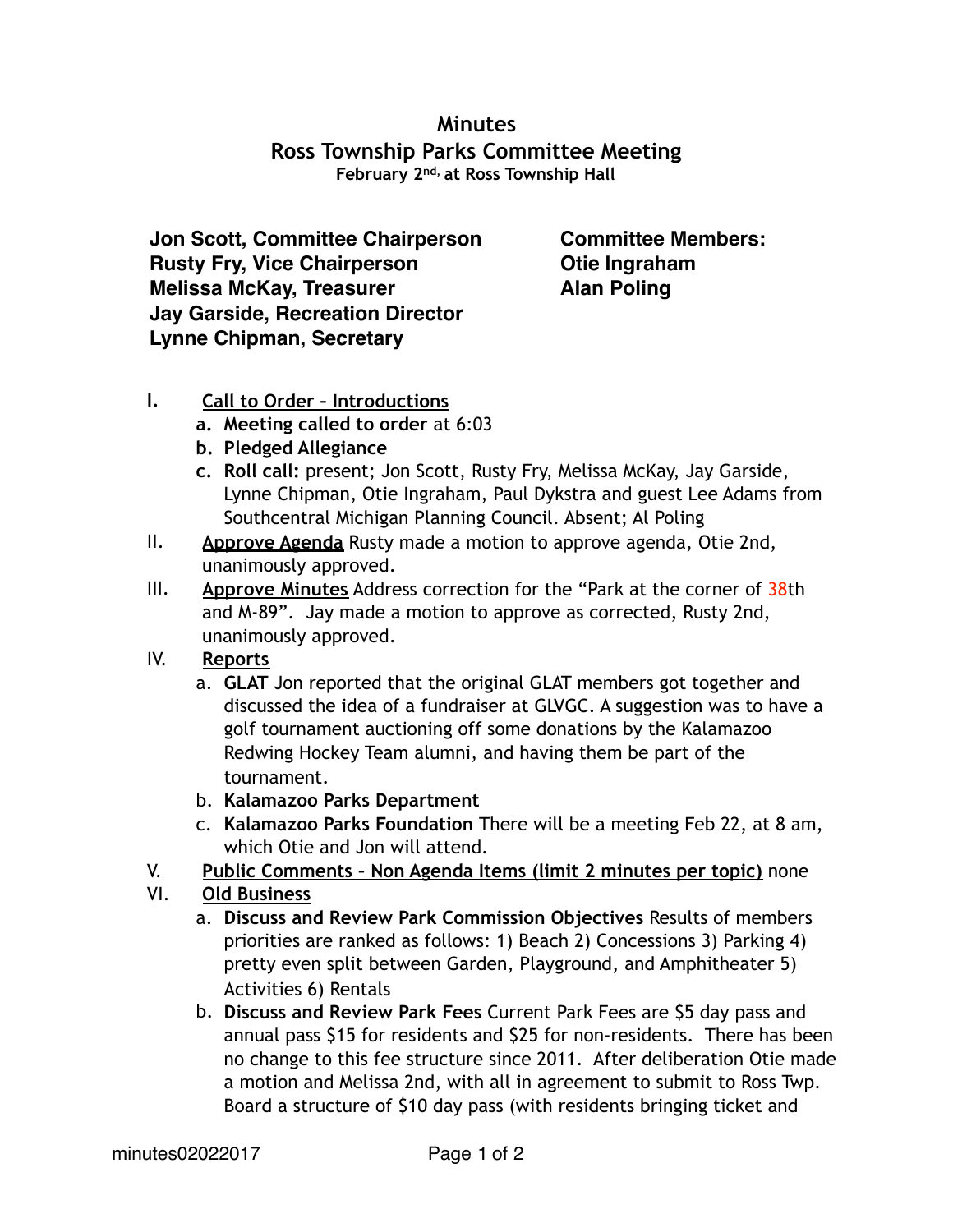## **Minutes Ross Township Parks Committee Meeting February 2nd, at Ross Township Hall**

**Jon Scott, Committee Chairperson Rusty Fry, Vice Chairperson Melissa McKay, Treasurer Jay Garside, Recreation Director Lynne Chipman, Secretary**

**Committee Members: Otie Ingraham Alan Poling**

## **I. Call to Order – Introductions**

- **a. Meeting called to order** at 6:03
- **b. Pledged Allegiance**
- **c. Roll call:** present; Jon Scott, Rusty Fry, Melissa McKay, Jay Garside, Lynne Chipman, Otie Ingraham, Paul Dykstra and guest Lee Adams from Southcentral Michigan Planning Council. Absent; Al Poling
- II. **Approve Agenda** Rusty made a motion to approve agenda, Otie 2nd, unanimously approved.
- III. **Approve Minutes** Address correction for the "Park at the corner of 38th and M-89". Jay made a motion to approve as corrected, Rusty 2nd, unanimously approved.
- IV. **Reports**
	- a. **GLAT** Jon reported that the original GLAT members got together and discussed the idea of a fundraiser at GLVGC. A suggestion was to have a golf tournament auctioning off some donations by the Kalamazoo Redwing Hockey Team alumni, and having them be part of the tournament.
	- b. **Kalamazoo Parks Department**
	- c. **Kalamazoo Parks Foundation** There will be a meeting Feb 22, at 8 am, which Otie and Jon will attend.
- V. **Public Comments Non Agenda Items (limit 2 minutes per topic)** none
- VI. **Old Business**
	- a. **Discuss and Review Park Commission Objectives** Results of members priorities are ranked as follows: 1) Beach 2) Concessions 3) Parking 4) pretty even split between Garden, Playground, and Amphitheater 5) Activities 6) Rentals
	- b. **Discuss and Review Park Fees** Current Park Fees are \$5 day pass and annual pass \$15 for residents and \$25 for non-residents. There has been no change to this fee structure since 2011. After deliberation Otie made a motion and Melissa 2nd, with all in agreement to submit to Ross Twp. Board a structure of \$10 day pass (with residents bringing ticket and